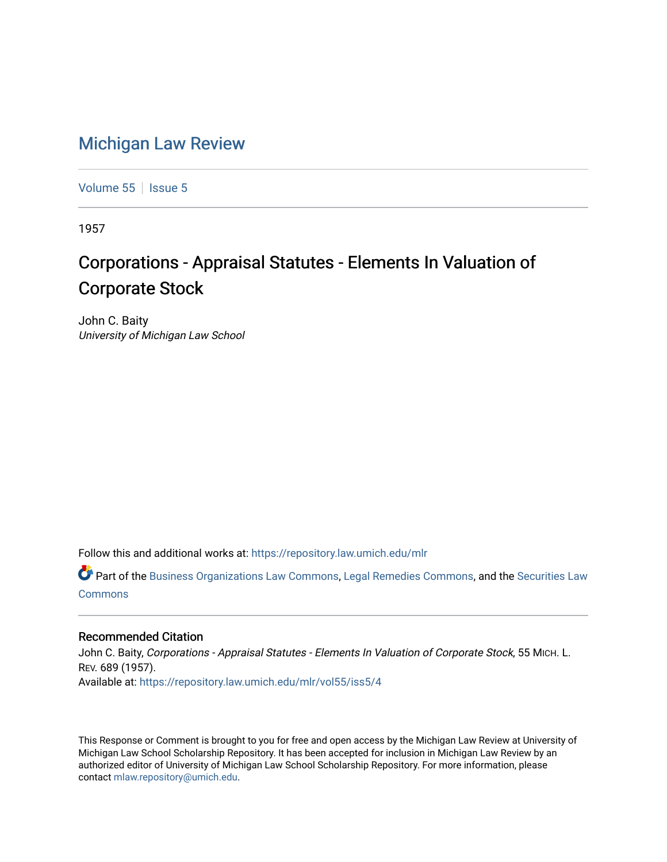## [Michigan Law Review](https://repository.law.umich.edu/mlr)

[Volume 55](https://repository.law.umich.edu/mlr/vol55) | [Issue 5](https://repository.law.umich.edu/mlr/vol55/iss5)

1957

# Corporations - Appraisal Statutes - Elements In Valuation of Corporate Stock

John C. Baity University of Michigan Law School

Follow this and additional works at: [https://repository.law.umich.edu/mlr](https://repository.law.umich.edu/mlr?utm_source=repository.law.umich.edu%2Fmlr%2Fvol55%2Fiss5%2F4&utm_medium=PDF&utm_campaign=PDFCoverPages) 

Part of the [Business Organizations Law Commons](http://network.bepress.com/hgg/discipline/900?utm_source=repository.law.umich.edu%2Fmlr%2Fvol55%2Fiss5%2F4&utm_medium=PDF&utm_campaign=PDFCoverPages), [Legal Remedies Commons,](http://network.bepress.com/hgg/discipline/618?utm_source=repository.law.umich.edu%2Fmlr%2Fvol55%2Fiss5%2F4&utm_medium=PDF&utm_campaign=PDFCoverPages) and the [Securities Law](http://network.bepress.com/hgg/discipline/619?utm_source=repository.law.umich.edu%2Fmlr%2Fvol55%2Fiss5%2F4&utm_medium=PDF&utm_campaign=PDFCoverPages)  [Commons](http://network.bepress.com/hgg/discipline/619?utm_source=repository.law.umich.edu%2Fmlr%2Fvol55%2Fiss5%2F4&utm_medium=PDF&utm_campaign=PDFCoverPages)

### Recommended Citation

John C. Baity, Corporations - Appraisal Statutes - Elements In Valuation of Corporate Stock, 55 MICH. L. REV. 689 (1957). Available at: [https://repository.law.umich.edu/mlr/vol55/iss5/4](https://repository.law.umich.edu/mlr/vol55/iss5/4?utm_source=repository.law.umich.edu%2Fmlr%2Fvol55%2Fiss5%2F4&utm_medium=PDF&utm_campaign=PDFCoverPages)

This Response or Comment is brought to you for free and open access by the Michigan Law Review at University of Michigan Law School Scholarship Repository. It has been accepted for inclusion in Michigan Law Review by an authorized editor of University of Michigan Law School Scholarship Repository. For more information, please contact [mlaw.repository@umich.edu](mailto:mlaw.repository@umich.edu).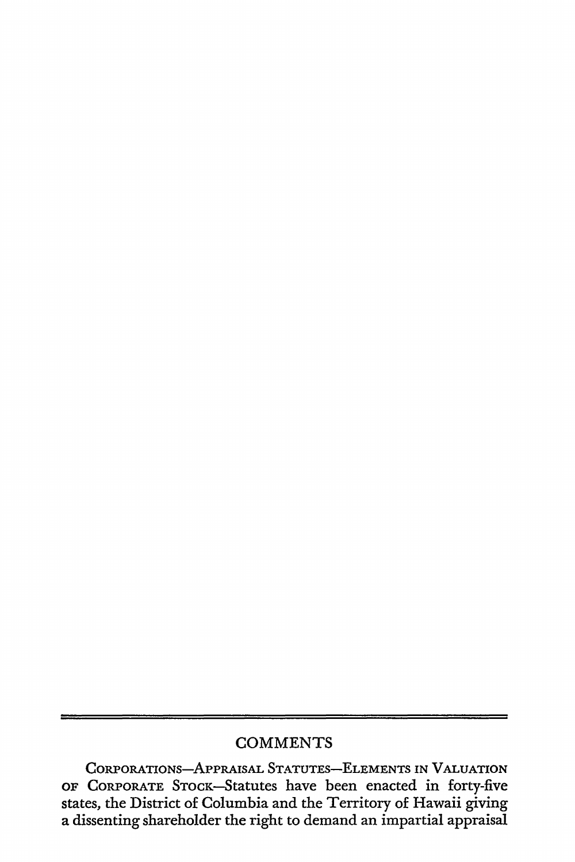## **COMMENTS**

CORPORATIONS-APPRAISAL STATUTES-ELEMENTS IN VALUATION OF CORPORATE STOCK-Statutes have been enacted in forty-five states, the District of Columbia and the Territory of Hawaii giving a dissenting shareholder the right to demand an impartial appraisal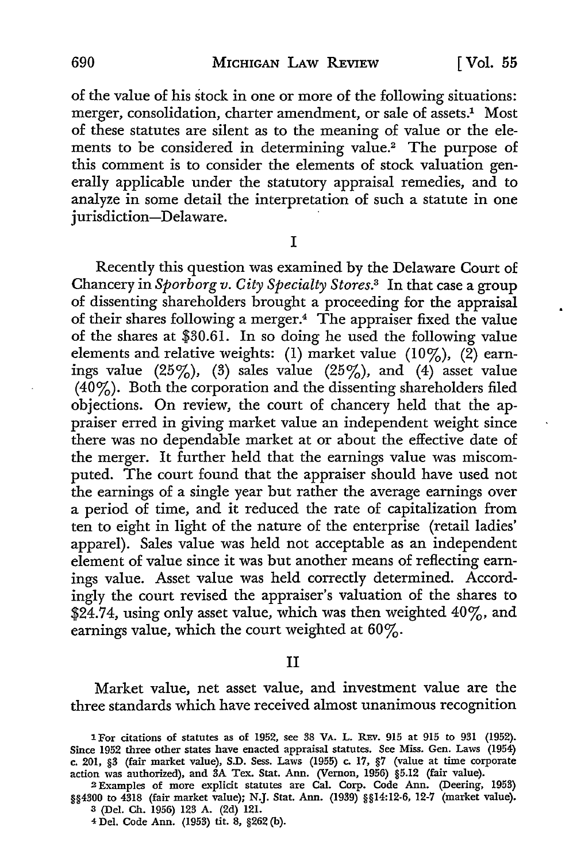of the value of his stock in one or more of the following situations: merger, consolidation, charter amendment, or sale of assets.<sup>1</sup> Most of these statutes are silent as to the meaning of value or the elements to be considered in determining value.<sup>2</sup> The purpose of this comment is to consider the elements of stock valuation generally applicable under the statutory appraisal remedies, and to analyze in some detail the interpretation of such a statute in one jurisdiction-Delaware.

**T** 

Recently this question was examined by the Delaware Court of Chancery in *Sporborg v. City Specialty Stores.*3 In that case a group of dissenting shareholders brought a proceeding for the appraisal of their shares following a merger.<sup>4</sup> The appraiser fixed the value of the shares at \$30.61. In so doing he used the following value elements and relative weights: (1) market value (10%), (2) earnings value  $(25\%)$ ,  $(3)$  sales value  $(25\%)$ , and  $(4)$  asset value  $(40\%)$ . Both the corporation and the dissenting shareholders filed objections. On review, the court of chancery held that the appraiser erred in giving market value an independent weight since there was no dependable market at or about the effective date of the merger. It further held that the earnings value was miscomputed. The court found that the appraiser should have used not the earnings of a single year but rather the average earnings over a period of time, and it reduced the rate of capitalization from ten to eight in light of the nature of the enterprise (retail ladies' apparel). Sales value was held not acceptable as an independent element of value since it was but another means of reflecting earnings value. Asset value was held correctly determined. Accordingly the court revised the appraiser's valuation of the shares to \$24.74, using only asset value, which was then weighted 40%, and earnings value, which the court weighted at 60%.

#### II

Market value, net asset value, and investment value are the three standards which have received almost unanimous recognition

<sup>1</sup>For citations of statutes as of 1952, see 38 VA. L. REv. 915 at 915 to 931 (1952). Since 1952 three other states have enacted appraisal statutes. See Miss. Gen. Laws (1954) c. 201, §3 (fair market value), S.D. Sess. Laws (1955) c. 17, §7 (value at time corporate action was authorized), and 3A Tex. Stat. Ann. (Vernon, 1956) §5.12 (fair value).

2 Examples of more explicit statutes are Cal. Corp. Code Ann. (Deering, 1953) §§4300 to 4318 (fair market value); N.J. Stat. Ann. (1939) §§14:12-6, 12-7 (market value). 3 (Del. Ch. 1956) 123 A. (2d) 121.

4 Del. Code Ann. (1953) tit. 8, §262 (b).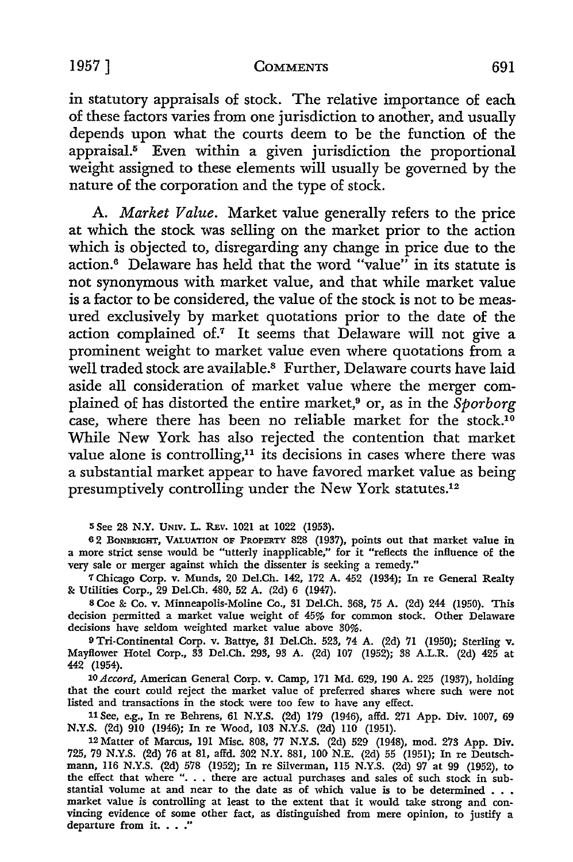#### 1957] **COMMENTS** 691

in statutory appraisals of stock. The relative importance of each of these factors varies from one jurisdiction to another, and usually depends upon what the courts deem to be the function of the  $appraisal.<sup>5</sup>$  Even within a given jurisdiction the proportional weight assigned to these elements will usually be governed by the nature of the corporation and the type of stock.

A. *Market Value.* Market value generally refers to the price at which the stock was selling on the market prior to the action which is objected to, disregarding any change in price due to the action.6 Delaware has held that the word "value" in its statute is not synonymous with market value, and that while market value is a factor to be considered, the value of the stock is not to be measured exclusively by market quotations prior to the date of the action complained of.7 It seems that Delaware will not give a prominent weight to market value even where quotations from a well traded stock are available.<sup>8</sup> Further, Delaware courts have laid aside all consideration of market value where the merger complained of has distorted the entire market,9 or, as in the *Sporborg*  case, where there has been no reliable market for the stock.<sup>10</sup> While New York has also rejected the contention that market value alone is controlling,<sup>11</sup> its decisions in cases where there was a substantial market appear to have favored market value as being presumptively controlling under the New York statutes.<sup>12</sup>

**<sup>5</sup>**See 28 **N.Y.** UNIV. L. REv. 1021 at 1022 (1953).

<sup>6</sup>2 BONBRIGHT, VALUATION OF PROPERTY 828 (1937), points out that market value in a more strict sense would be "utterly inapplicable," for it "reflects the influence of the very sale or merger against which the dissenter is seeking a remedy."

<sup>7</sup>Chicago Corp. v. Munds, 20 Del.Ch. 142, 172 A. 452 (1934); In re General Realty &: Utilities Corp., 29 Del.Ch. 480, 52 A. (2d) 6 (1947).

<sup>8</sup>Coe &: Co. v. Minneapolis-Moline Co., 31 Del.Ch. 368, 75 A. (2d) 244 (1950). This decision permitted a market value weight of 45% for common stock. Other Delaware decisions have seldom weighted market value above 30%.

9 Tri-Continental Corp. v. Battye, 31 Del.Ch. 523, 74 A. (2d) 71 (1950); Sterling v. Mayflower Hotel Corp., 33 Del.Ch. 293, 93 A. (2d) 107 (1952); 38 A.L.R. (2d) 425 at 442 (1954).

10 *Accord,* American General Corp. v. Camp, 171 Md. 629, 190 A. 225 (1937), holding that the court could reject the market value of preferred shares where such were not listed and transactions in the stock were too few to have any effect.

<sup>11</sup>See, e.g., In re Behrens, 61 N.Y.S. (2d) 179 (1946), affd. 271 App. Div. 1007, 69 N.Y.S. (2d) 910 (1946); In re Wood, 103 N.Y.S. (2d) ll0 (1951).

12 Matter of Marcus, 191 Misc. 808, 77 N.Y.S. (2d) 529 (1948), mod. 273 App. Div. 725, 79 N.Y.S. (2d) 76 at 81, affd. 302 N.Y. 881, 100 N.E. (2d) 55 (1951); In re Deutschmann, 116 N.Y.S. (2d) 578 (1952); In re Silverman, 115 N.Y.S. (2d) 97 at 99 (1952), to the effect that where "... there are actual pur stantial volume at and near to the date as of which value is to be determined . . . market value is controlling at least to the extent that it would take strong and convincing evidence of some other fact, as distinguished from mere opinion, to justify a departure from it. . . ."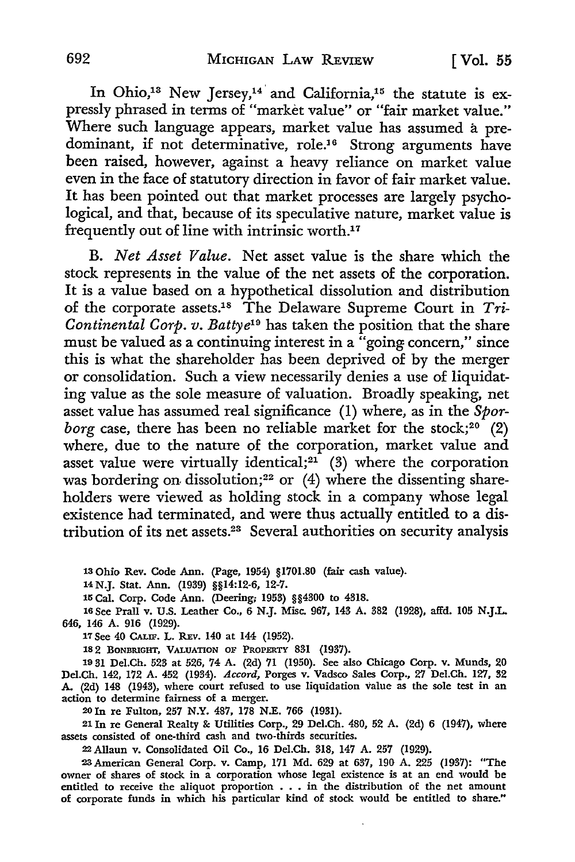In Ohio,<sup>13</sup> New Jersey,<sup>14</sup> and California,<sup>15</sup> the statute is expressly phrased in terms of "market value" or "fair market value." Where such language appears, market value has assumed a predominant, if not determinative, role.<sup>16</sup> Strong arguments have been raised, however, against a heavy reliance on market value even in the face of statutory direction in favor of fair market value. It has been pointed out that market processes are largely psychological, and that, because of its speculative nature, market value is frequently out of line with intrinsic worth.<sup>17</sup>

B. *Net Asset Value.* Net asset value is the share which the stock represents in the value of the net assets of the corporation. It is a value based on a hypothetical dissolution and distribution of the corporate assets.18 The Delaware Supreme Court in *Tri-Continental Corp. v. Battye19* has taken the position that the share must be valued as a continuing interest in a "going concern," since this is what the shareholder has been deprived of by the merger or consolidation. Such a view necessarily denies a use of liquidating value as the sole measure of valuation. Broadly speaking, net asset value has assumed real significance (1) where, as in the *Sporborg* case, there has been no reliable market for the stock;<sup>20</sup> (2) where, due to the nature of the corporation, market value and asset value were virtually identical;<sup>21</sup> (3) where the corporation was bordering on dissolution;<sup>22</sup> or  $(4)$  where the dissenting shareholders were viewed as holding stock in a company whose legal existence had terminated, and were thus actually entitled to a distribution of its net assets.23 Several authorities on security analysis

13 Ohio Rev. Code Ann. (Page, 1954) §1701.80 (fair cash value).

<sup>14</sup>N.J. Stat. Ann. (1939) §§14:12-6, 12-7.

15 Cal. Corp. Code Ann. (Deering; 1953) §§4300 to 4318.

16 See Prall v. U.S. Leather Co., 6 N.J. Misc. 967, 143 A. 382 (1928), affd. 105 N.J.L 646, 146 A. 916 (1929).

17 See 40 CALIF. L. REv. 140 at 144 (1952).

182 BONBRIGHT, VALUATION OF PROPERTY 831 (1937).

19 31 Del.Ch. 523 at 526, 74 A. (2d) 71 (1950). See also Chicago Corp. v. Munds, 20 Del.Ch. 142, 172 A. 452 (1934). *Accord,* Porges v. Vadsco Sales Corp., 27 Del.Ch. 127, 32 A. (2d) 148 (1943), where court refused to use liquidation value as the sole test in an action to determine fairness of a merger.

20In re Fulton, 257 N.Y. 487, 178 N.E. 766 (1931).

21 In re General Realty &: Utilities Corp., 29 Del.Ch. 480, 52 A. (2d) 6 (1947), where assets consisted of one-third cash and two-thirds securities.

22 Allaun v. Consolidated Oil Co., 16 Del.Ch. 318, 147 A. 257 (1929).

23American General Corp. v. Camp, 171 Md. 629 at 637, 190 A. 225 (1937): "The owner of shares of stock in a corporation whose legal existence is at an end would be entitled to receive the aliquot proportion • . . in the distribution of the net amount of corporate funds in which his particular kind of stock would be entitled to share."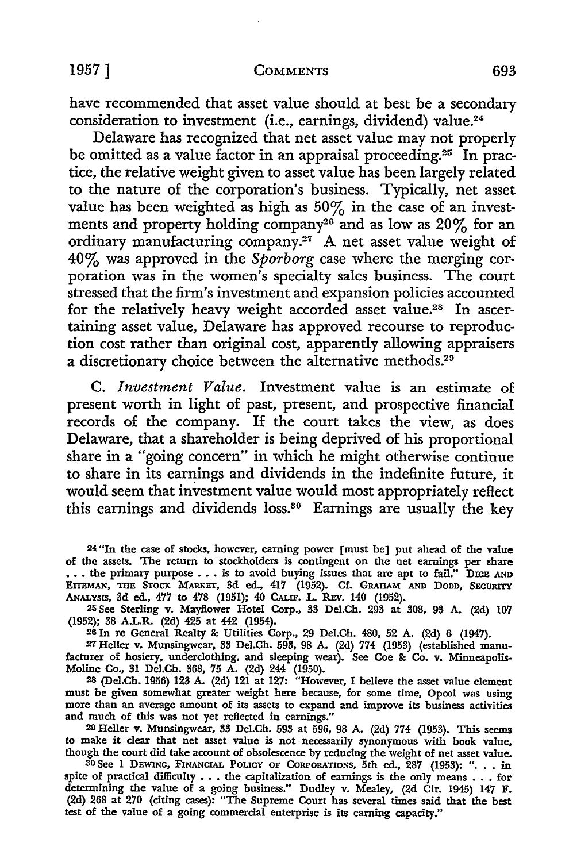have recommended that asset value should at best be a secondary consideration to investment (i.e., earnings, dividend) value.<sup>24</sup>

Delaware has recognized that net asset value may not properly be omitted as a value factor in an appraisal proceeding.<sup>25</sup> In practice, the relative weight given to asset value has been largely related to the nature of the corporation's business. Typically, net asset value has been weighted as high as  $50\%$  in the case of an investments and property holding company<sup>26</sup> and as low as 20% for an ordinary manufacturing company.27 A net asset value weight of 40% was approved in the *Sporborg* case where the merging corporation was in the women's specialty sales business. The court stressed that the firm's investment and expansion policies accounted for the relatively heavy weight accorded asset value.28 In ascertaining asset value, Delaware has approved recourse to reproduction cost rather than original cost, apparently allowing appraisers a discretionary choice between the alternative methods.<sup>29</sup>

C. *Investment Value.* Investment value is an estimate of present worth in light of past, present, and prospective financial records of the company. If the court takes the view, as does Delaware, that a shareholder is being deprived of his proportional share in a "going concern" in which he might otherwise continue to share in its earnings and dividends in the indefinite future, it would seem that investment value would most appropriately reflect this earnings and dividends loss.<sup>30</sup> Earnings are usually the key

24 "In the case of stocks, however, earning power [must be] put ahead of the value of the assets. The return to stockholders is contingent on the net earnings per share ... the primary purpose ... is to avoid buying issues that are apt to fail." DICE AND EITEMAN, THE STOCK MARKET, 3d ed., 417 (1952). Cf. GRAHAM AND DODD, SECURITY ANALYSIS, 3d ed., 477 to 478 (1951); 40 CALIF. L. REV. 140 (1952).

25 See Sterling v. Mayflower Hotel Corp., 33 Del.Ch. 293 at 308, 93 A. (2d) 107 (1952); 38 A.L.R. (2d) 425 at 442 (1954).

<sup>26</sup>In re General Realty &: Utilities Corp., 29 Del.Ch. 480, 52 A. (2d) 6 (1947).

27 Heller v. Munsingwear, 33 Del.Ch. 593, 98 A. (2d) 774 (1953) (established manufacturer of hosiery, underclothing, and sleeping wear). See Coe & Co. v. Minneapolis-Moline Co., 31 Del.Ch. 368, 75 A. (2d) 244 (1950).

<sup>28</sup>(Del.Ch. 1956) 123 A. (2d) 121 at 127: "However, I believe the asset value element must be given somewhat greater weight here because, for some time, Opcol was using more than an average amount of its assets to expand and improve its business activities and much of this was not yet reflected in earnings."

<sup>29</sup>Heller v. Munsingwear, 33 Del.Ch. 593 at 596, 98 A. (2d) 774 (1953). This seems to make it clear that net asset value is not necessarily synonymous with book value, though the court did take account of obsolescence by reducing the weight of net asset value.

30 See I DEWING, FINANCIAL POLICY OF CORPORATIONS, 5th ed., 287 (1953): ". . . in spite of practical difficulty . . . the capitalization of earnings is the only means . . . for determining the value of a going business." Dudley v. Mealey, (2d Cir. 1945) 147 F. (2d) 268 at 270 (citing cases): "The Supreme Court has several times said that the best test of the value of a going commercial enterprise is its earning capacity."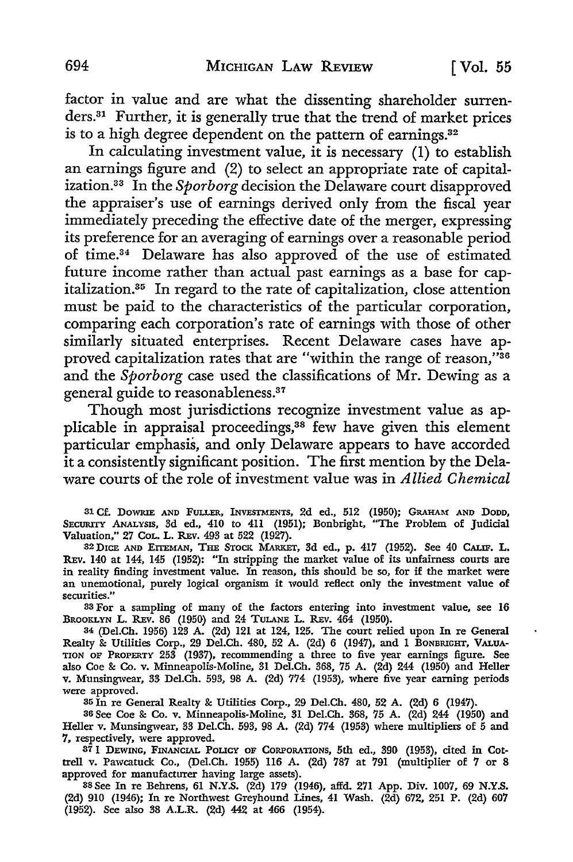factor in value and are what the dissenting shareholder surrenders.31 Further, it is generally true that the trend of market prices is to a high degree dependent on the pattern of earnings.32

In calculating investment value, it is necessary  $(1)$  to establish an earnings figure and (2) to select an appropriate rate of capitalization. 33 In the *Sporborg* decision the Delaware court disapproved the appraiser's use of earnings derived only from the fiscal year immediately preceding the effective date of the merger, expressing its preference for an averaging of earnings over a reasonable period of time.34 Delaware has also approved of the use of estimated future income rather than actual past earnings as a base for capitalization. 35 In regard to the rate of capitalization, close attention must be paid to the characteristics of the particular corporation, comparing each corporation's rate of earnings with those of other similarly situated enterprises. Recent Delaware cases have approved capitalization rates that are "within the range of reason,"36 and the *Sporborg* case used the classifications of Mr. Dewing as a general guide to reasonableness.37

Though most jurisdictions recognize investment value as applicable in appraisal proceedings,<sup>38</sup> few have given this element particular emphasis, and only Delaware appears to have accorded it a consistently significant position. The first mention by the Delaware courts of the role of investment value was in *Allied Chemical* 

31 Cf. DoWRIE AND FULLER, INVESTMENTS, 2d ed., 512 (1950); GRAHAM AND DODD, SECURITY ANALYSIS, 3d ed., 410 to 4ll (1951); Bonbright, "The Problem of Judicial Valuation," 27 CoL. L. REv. 493 at 522 (1927).

32D1CE AND EITEMAN, THE STOCK MARKET, 3d ed., p. 417 (1952). See 40 CALIF. L. REv. 140 at 144, 145 (1952): "In stripping the market value of its unfairness courts are in reality finding investment value. In reason, this should be so, for if the market were an unemotional, purely logical organism it would reflect only the investment value of securities."

33 For a sampling of many of the factors entering into investment value, see **16**  BROOKLYN L. REV. 86 (1950) and 24 TULANE L. REV. 464 (1950).

34 (Del.Ch. 1956) 123 A. (2d) 121 at 124, 125. The court relied upon In re General Realty & Utilities Corp., 29 Del.Ch. 480, 52 A. (2~) 6 (1947), and 1 BONBRIGHT, **VALUA-**TION OF PROPERTY 253 (1937), recommending a three to five year earnings figure. See also Coe & Co. v. Minneapolis-Moline, 31 Del.Ch. 368, 75 A. (2d) 244 (1950) and Heller v. Munsingwear, 33 Del.Ch. 593, 98 A. (2d) 774 (1953), where five year earning periods were approved.

35 In re General Realty & Utilities Corp., 29 Del.Ch. 480, 52 A. (2d) 6 (1947).

36 See Coe & Co. v. Minneapolis-Moline, 31 Del.Ch. 368, 75 A. (2d) 244 (1950) and Heller v. Munsingwear, 33 Del.Ch. 593, 98 A. (2d) 774 (1953) where multipliers of 5 and 7, respectively, were approved.

37 1 DEWING, FINANCIAL *POUCY* OF CORPORATIONS, 5th ed., 390 (1953), cited in Cottrell v. Pawcatuck Co., (Del.Ch. 1955) ll6 A. (2d) 787 at 791 (multiplier of 7 or 8 approved for manufacturer having large assets).

38 See In re Belrrens, 61 N.Y.S. (2d) 179 (1946), affd. 271 App. Div. 1007, 69 N.Y.S. (2d) 910 (1946); In re Northwest Greyhound Lines, 41 Wash. (2d) 672, 251 P. (2d) 607 (1952). See also 38 A.L.R. (2d) 442 at 466 (1954).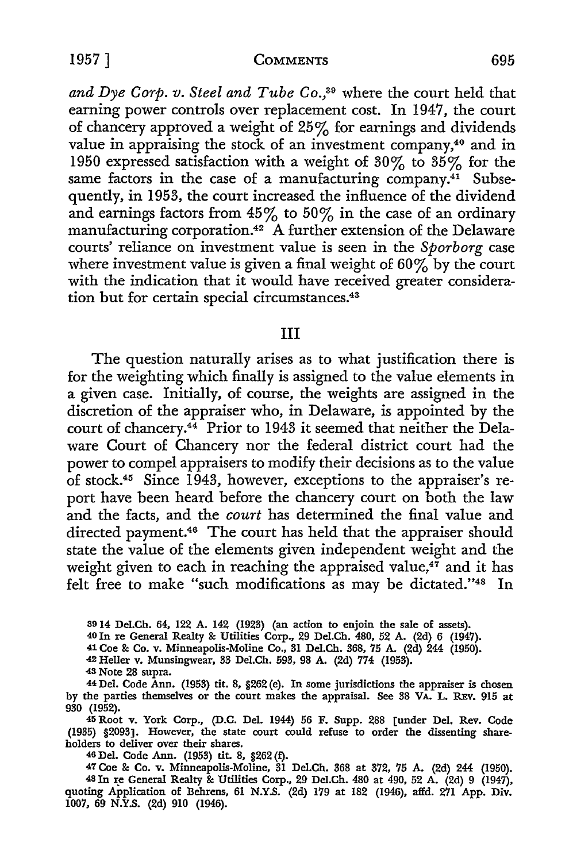1957] **COMMENTS** 695

and Dye Corp. v. Steel and Tube Co.,<sup>39</sup> where the court held that earning power controls over replacement cost. In 1947, the court of chancery approved a weight of 25% for earnings and dividends value in appraising the stock of an investment company,<sup>40</sup> and in 1950 expressed satisfaction with a weight of 30% to 35% for the same factors in the case of a manufacturing company.<sup>41</sup> Subsequently, in 1953, the court increased the influence of the dividend and earnings factors from  $45\%$  to  $50\%$  in the case of an ordinary manufacturing corporation.42 A further extension of the Delaware courts' reliance on investment value is seen in the *Sporborg* case where investment value is given a final weight of  $60\%$  by the court with the indication that it would have received greater consideration but for certain special circumstances.43

#### III

The question naturally arises as to what justification there is for the weighting which finally is assigned to the value elements in a given case. Initially, of course, the weights are assigned in the discretion of the appraiser who, in Delaware, is appointed by the court of chancery.<sup>44</sup> Prior to 1943 it seemed that neither the Delaware Court of Chancery nor the federal district court had the power to compel appraisers to modify their decisions as to the value of stock.45 Since 1943, however, exceptions to the appraiser's report have been heard before the chancery court on both the law and the facts, and the *court* has determined the final value and directed payment.46 The court has held that the appraiser should state the value of the elements given independent weight and the weight given to each in reaching the appraised value, $47$  and it has felt free to make "such modifications as may be dictated."48 In

3914 Del.Ch. 64, 122 A. 142 (1923) (an action to enjoin the sale of assets).

40 In re General Realty &: Utilities Corp., 29 Del.Ch. 480, 52 A. (2d) 6 (1947).

41 Coe &: Co. v. Minneapolis-Moline Co., 31 Del.Ch. 368, 75 A. (2d) 244 (1950).

42 Heller v. Munsingwear, 33 Del.Ch. 593, 98 A. (2d) 774 (1953).

43 Note 28 supra.

44 Del. Code Ann. (1953) tit. 8, §262 (e). In some jurisdictions the appraiser is chosen by the parties themselves or the court makes the appraisal. See 38 VA. L. REv. 915 at 930 (1952).

45 Root v. York Corp., (D.C. Del. 1944) 56 F. Supp. 288 [under Del. Rev. Code (1935) §2093]. However, the state court could refuse to order the dissenting shareholders to deliver over their shares.

46 Del. Code Ann. (1953) tit. 8, §262 (f).

47 Coe &: Co. v. Minneapolis-Moline, 31 Del.Ch. 368 at 372, 75 A. (2d) 244 (1950). 48 In re General Realty & Utilities Corp., 29 Del.Ch. 480 at 490, 52 A. (2d) 9 (1947), quoting Application of Behrens, 61 N.Y.S. (2d) 179 at 182 (1946), affd. 271 App. Div. 1007, 69 N.Y.S.  $(2d)$  910  $(1946)$ .